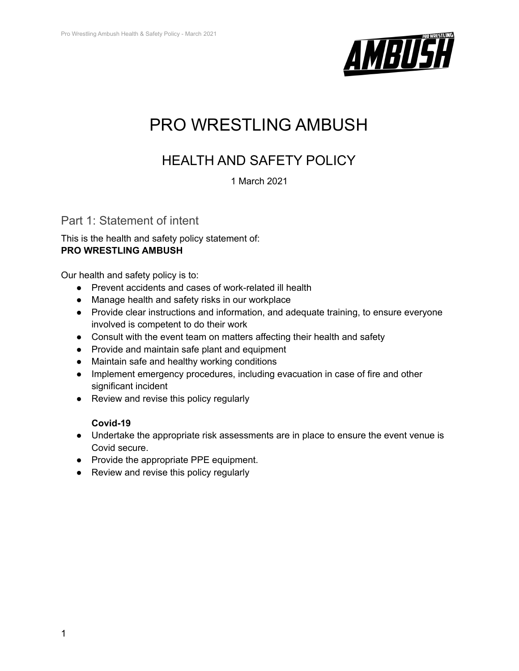

# PRO WRESTLING AMBUSH

## HEALTH AND SAFETY POLICY

1 March 2021

## Part 1: Statement of intent

This is the health and safety policy statement of: **PRO WRESTLING AMBUSH**

Our health and safety policy is to:

- Prevent accidents and cases of work-related ill health
- Manage health and safety risks in our workplace
- Provide clear instructions and information, and adequate training, to ensure everyone involved is competent to do their work
- Consult with the event team on matters affecting their health and safety
- Provide and maintain safe plant and equipment
- Maintain safe and healthy working conditions
- Implement emergency procedures, including evacuation in case of fire and other significant incident
- Review and revise this policy regularly

## **Covid-19**

- Undertake the appropriate risk assessments are in place to ensure the event venue is Covid secure.
- Provide the appropriate PPE equipment.
- Review and revise this policy regularly